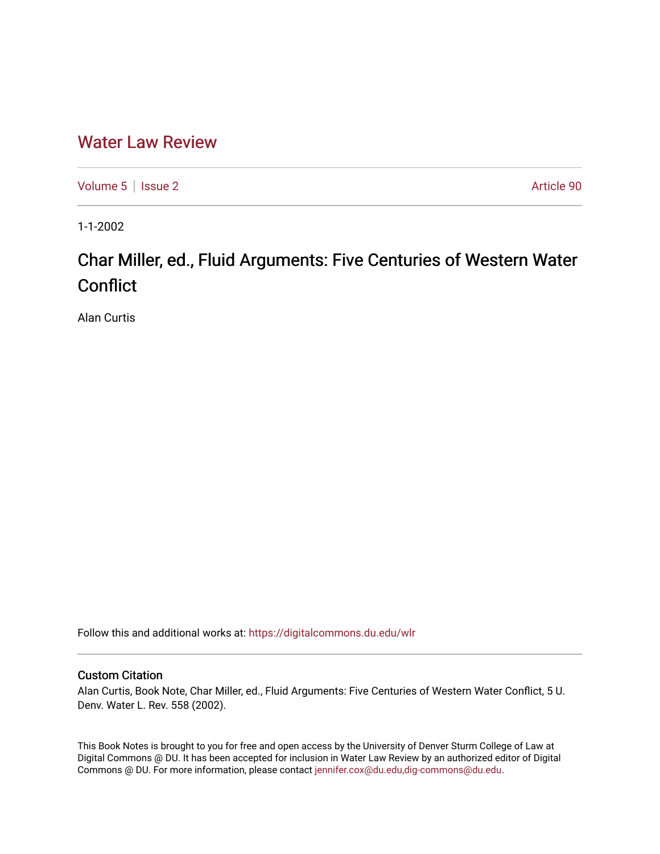## [Water Law Review](https://digitalcommons.du.edu/wlr)

[Volume 5](https://digitalcommons.du.edu/wlr/vol5) | [Issue 2](https://digitalcommons.du.edu/wlr/vol5/iss2) Article 90

1-1-2002

## Char Miller, ed., Fluid Arguments: Five Centuries of Western Water **Conflict**

Alan Curtis

Follow this and additional works at: [https://digitalcommons.du.edu/wlr](https://digitalcommons.du.edu/wlr?utm_source=digitalcommons.du.edu%2Fwlr%2Fvol5%2Fiss2%2F90&utm_medium=PDF&utm_campaign=PDFCoverPages) 

## Custom Citation

Alan Curtis, Book Note, Char Miller, ed., Fluid Arguments: Five Centuries of Western Water Conflict, 5 U. Denv. Water L. Rev. 558 (2002).

This Book Notes is brought to you for free and open access by the University of Denver Sturm College of Law at Digital Commons @ DU. It has been accepted for inclusion in Water Law Review by an authorized editor of Digital Commons @ DU. For more information, please contact [jennifer.cox@du.edu,dig-commons@du.edu.](mailto:jennifer.cox@du.edu,dig-commons@du.edu)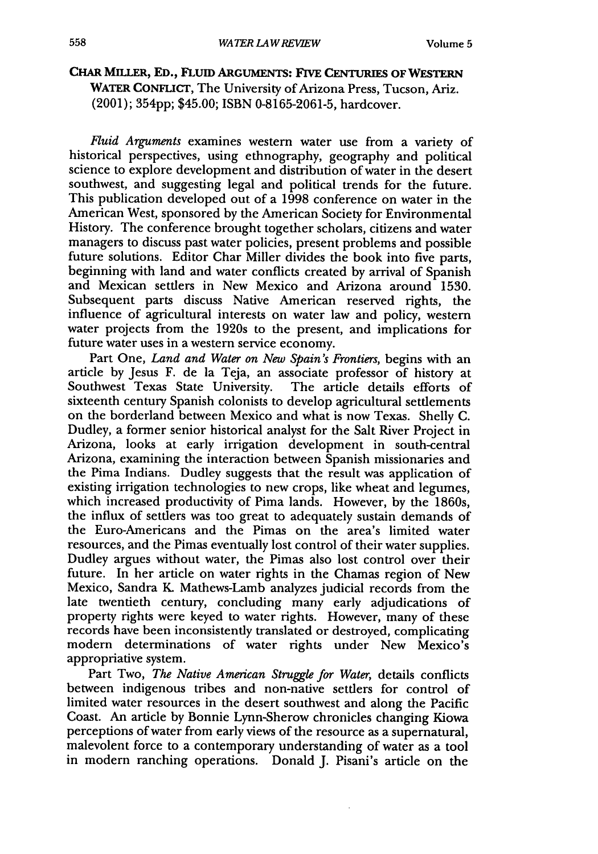## **CHAR MILLER, ED., FLUID ARGUMENTS: FIVE** CENTURIES **OF** WESTERN **WATER CONFLICT,** The University of Arizona Press, Tucson, Ariz. (2001); 354pp; \$45.00; ISBN 0-8165-2061-5, hardcover.

*Fluid Arguments* examines western water use from a variety of historical perspectives, using ethnography, geography and political science to explore development and distribution of water in the desert southwest, and suggesting legal and political trends for the future. This publication developed out of a 1998 conference on water in the American West, sponsored by the American Society for Environmental History. The conference brought together scholars, citizens and water managers to discuss past water policies, present problems and possible future solutions. Editor Char Miller divides the book into five parts, beginning with land and water conflicts created by arrival of Spanish and Mexican settlers in New Mexico and Arizona around **1530.** Subsequent parts discuss Native American reserved rights, the influence of agricultural interests on water law and policy, western water projects from the 1920s to the present, and implications for future water uses in a western service economy.

Part One, *Land and Water on New Spain's Frontiers,* begins with an article by Jesus F. de la Teja, an associate professor of history at Southwest Texas State University. The article details efforts of sixteenth century Spanish colonists to develop agricultural settlements on the borderland between Mexico and what is now Texas. Shelly C. Dudley, a former senior historical analyst for the Salt River Project in Arizona, looks at early irrigation development in south-central Arizona, examining the interaction between Spanish missionaries and the Pima Indians. Dudley suggests that the result was application of existing irrigation technologies to new crops, like wheat and legumes, which increased productivity of Pima lands. However, by the 1860s, the influx of settlers was too great to adequately sustain demands of the Euro-Americans and the Pimas on the area's limited water resources, and the Pimas eventually lost control of their water supplies. Dudley argues without water, the Pimas also lost control over their future. In her article on water rights in the Chamas region of New Mexico, Sandra K. Mathews-Lamb analyzes judicial records from the late twentieth century, concluding many early adjudications of property rights were keyed to water rights. However, many of these records have been inconsistently translated or destroyed, complicating modern determinations of water rights under New Mexico's appropriative system.

Part Two, *The Native American Struggle for Water,* details conflicts between indigenous tribes and non-native settlers for control of limited water resources in the desert southwest and along the Pacific Coast. An article by Bonnie Lynn-Sherow chronicles changing Kiowa perceptions of water from early views of the resource as a supernatural, malevolent force to a contemporary understanding of water as a tool in modern ranching operations. Donald J. Pisani's article on the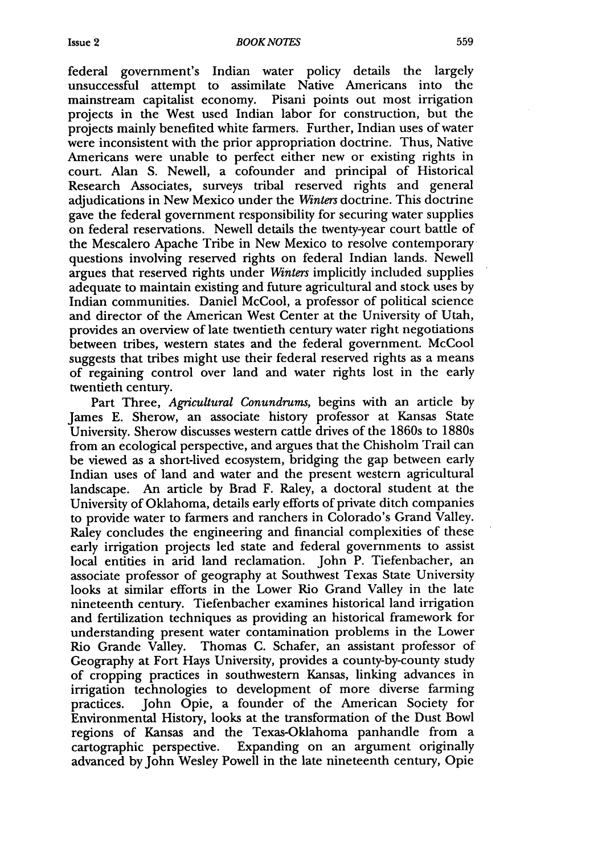federal government's Indian water policy details the largely unsuccessful attempt to assimilate Native Americans into the mainstream capitalist economy. Pisani points out most irrigation projects in the West used Indian labor for construction, but the projects mainly benefited white farmers. Further, Indian uses of water were inconsistent with the prior appropriation doctrine. Thus, Native Americans were unable to perfect either new or existing rights in court. Alan S. Newell, a cofounder and principal of Historical Research Associates, surveys tribal reserved rights and general adjudications in New Mexico under the *Winters* doctrine. This doctrine gave the federal government responsibility for securing water supplies on federal reservations. Newell details the twenty-year court battle of the Mescalero Apache Tribe in New Mexico to resolve contemporary questions involving reserved rights on federal Indian lands. Newell argues that reserved rights under *Winters* implicitly included supplies adequate to maintain existing and future agricultural and stock uses by Indian communities. Daniel McCool, a professor of political science and director of the American West Center at the University of Utah, provides an overview of late twentieth century water right negotiations between tribes, western states and the federal government. McCool suggests that tribes might use their federal reserved rights as a means of regaining control over land and water rights lost in the early twentieth century.

Part Three, *Agricultural Conundrums,* begins with an article by James E. Sherow, an associate history professor at Kansas State University. Sherow discusses western cattle drives of the 1860s to 1880s from an ecological perspective, and argues that the Chisholm Trail can be viewed as a short-lived ecosystem, bridging the gap between early Indian uses of land and water and the present western agricultural landscape. An article by Brad F. Raley, a doctoral student at the University of Oklahoma, details early efforts of private ditch companies to provide water to farmers and ranchers in Colorado's Grand Valley. Raley concludes the engineering and financial complexities of these early irrigation projects led state and federal governments to assist local entities in arid land reclamation. John P. Tiefenbacher, an associate professor of geography at Southwest Texas State University looks at similar efforts in the Lower Rio Grand Valley in the late nineteenth century. Tiefenbacher examines historical land irrigation and fertilization techniques as providing an historical framework for understanding present water contamination problems in the Lower Rio Grande Valley. Thomas C. Schafer, an assistant professor of Geography at Fort Hays University, provides a county-by-county study of cropping practices in southwestern Kansas, linking advances in irrigation technologies to development of more diverse farming practices. John Opie, a founder of the American Society for Environmental History, looks at the transformation of the Dust Bowl regions of Kansas and the Texas-Oklahoma panhandle from a cartographic perspective. Expanding on an argument originally advanced by John Wesley Powell in the late nineteenth century, Opie